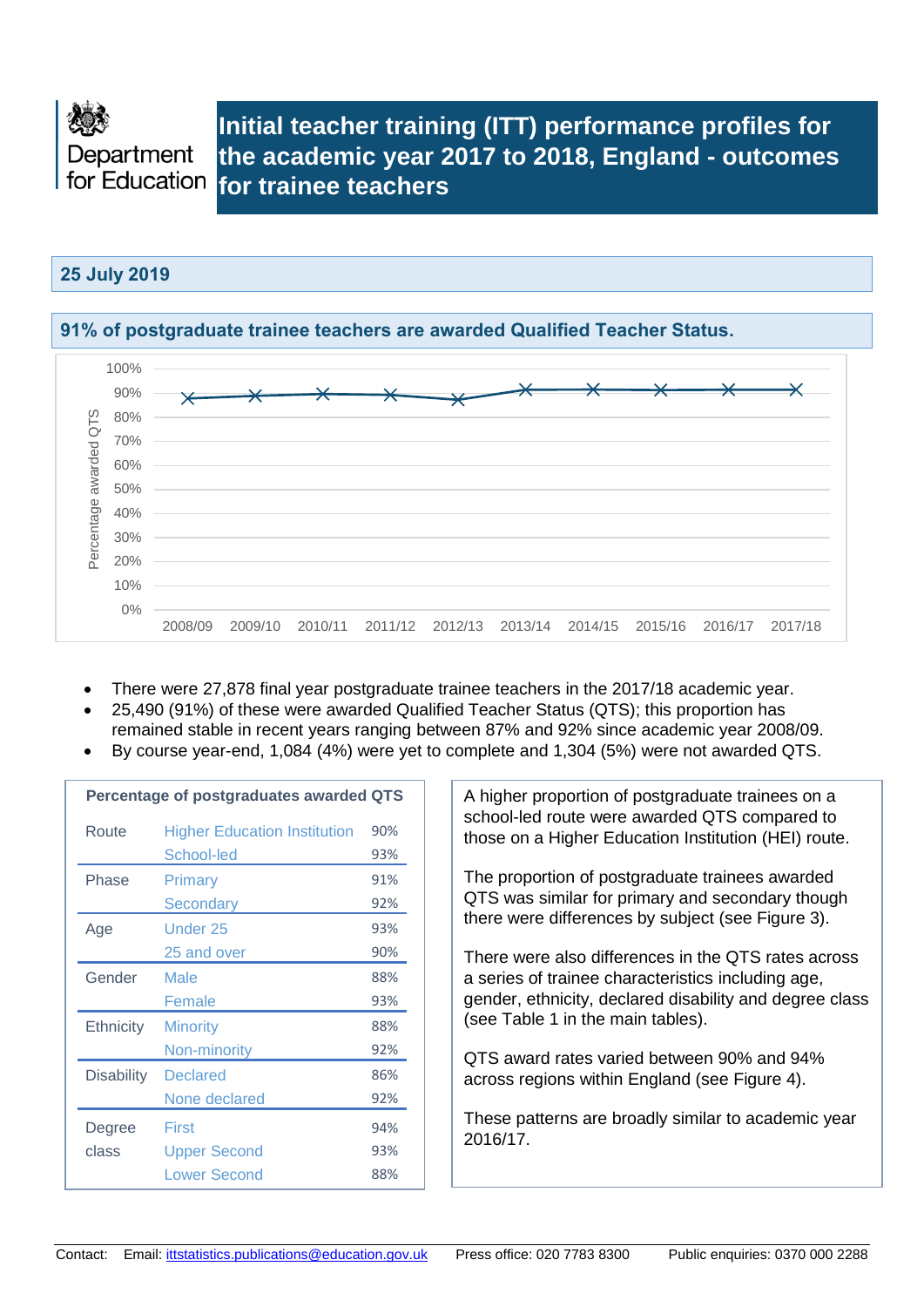

## **Initial teacher training (ITT) performance profiles for the academic year 2017 to 2018, England - outcomes for trainee teachers**

### **25 July 2019**



- There were 27,878 final year postgraduate trainee teachers in the 2017/18 academic year.
- 25,490 (91%) of these were awarded Qualified Teacher Status (QTS); this proportion has remained stable in recent years ranging between 87% and 92% since academic year 2008/09.
- By course year-end, 1,084 (4%) were yet to complete and 1,304 (5%) were not awarded QTS.

|                   | Percentage of postgraduates awarded QTS |     |
|-------------------|-----------------------------------------|-----|
| Route             | <b>Higher Education Institution</b>     | 90% |
|                   | School-led                              | 93% |
| Phase             | Primary                                 | 91% |
|                   | Secondary                               | 92% |
| Age               | <b>Under 25</b>                         | 93% |
|                   | 25 and over                             | 90% |
| Gender            | Male                                    | 88% |
|                   | Female                                  | 93% |
| <b>Ethnicity</b>  | <b>Minority</b>                         | 88% |
|                   | Non-minority                            | 92% |
| <b>Disability</b> | <b>Declared</b>                         | 86% |
|                   | None declared                           | 92% |
| Degree            | First                                   | 94% |
| class             | <b>Upper Second</b>                     | 93% |
|                   | <b>Lower Second</b>                     | 88% |

A higher proportion of postgraduate trainees on a school-led route were awarded QTS compared to those on a Higher Education Institution (HEI) route.

The proportion of postgraduate trainees awarded QTS was similar for primary and secondary though there were differences by subject (see Figure 3).

There were also differences in the QTS rates across a series of trainee characteristics including age, gender, ethnicity, declared disability and degree class (see Table 1 in the main tables).

QTS award rates varied between 90% and 94% across regions within England (see Figure 4).

These patterns are broadly similar to academic year 2016/17.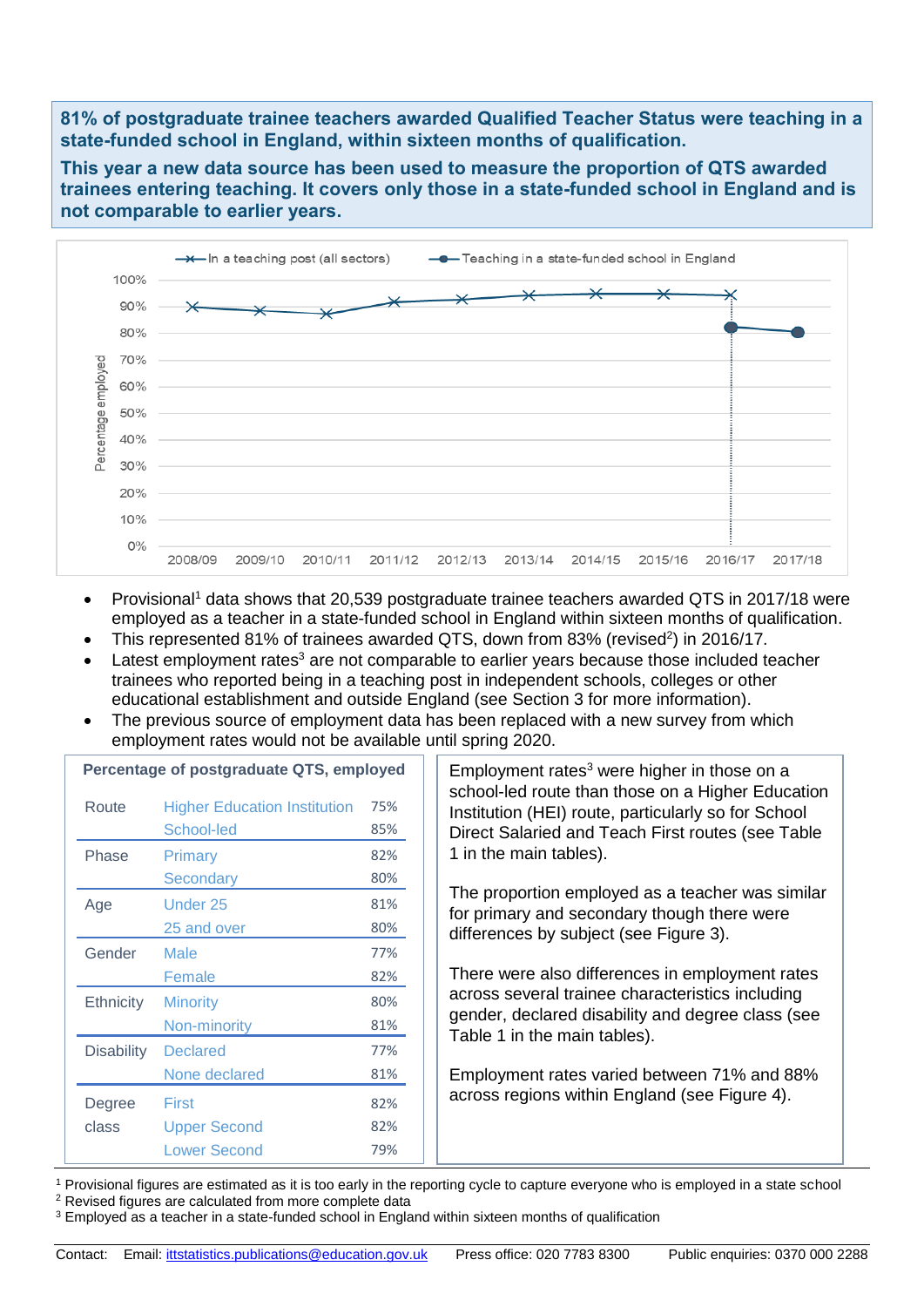**81% of postgraduate trainee teachers awarded Qualified Teacher Status were teaching in a state-funded school in England, within sixteen months of qualification.** 

**This year a new data source has been used to measure the proportion of QTS awarded trainees entering teaching. It covers only those in a state-funded school in England and is not comparable to earlier years.**



- Provisional<sup>1</sup> data shows that 20,539 postgraduate trainee teachers awarded QTS in 2017/18 were employed as a teacher in a state-funded school in England within sixteen months of qualification.
- This represented 81% of trainees awarded QTS, down from 83% (revised<sup>2</sup>) in 2016/17.
- Latest employment rates<sup>3</sup> are not comparable to earlier years because those included teacher trainees who reported being in a teaching post in independent schools, colleges or other educational establishment and outside England (see Section 3 for more information).
- The previous source of employment data has been replaced with a new survey from which employment rates would not be available until spring 2020.

|                   | Percentage or postgraduate QTS, employed |     |
|-------------------|------------------------------------------|-----|
| Route             | <b>Higher Education Institution</b>      | 75% |
|                   | School-led                               | 85% |
| Phase             | Primary                                  | 82% |
|                   | Secondary                                | 80% |
| Age               | Under 25                                 | 81% |
|                   | 25 and over                              | 80% |
| Gender            | Male                                     | 77% |
|                   | Female                                   | 82% |
| Ethnicity         | <b>Minority</b>                          | 80% |
|                   | Non-minority                             | 81% |
| <b>Disability</b> | <b>Declared</b>                          | 77% |
|                   | None declared                            | 81% |
| Degree            | First                                    | 82% |
| class             | <b>Upper Second</b>                      | 82% |
|                   | <b>Lower Second</b>                      | 79% |

**Percentage of postgraduate QTS, employed**

Employment rates $3$  were higher in those on a school-led route than those on a Higher Education Institution (HEI) route, particularly so for School Direct Salaried and Teach First routes (see Table 1 in the main tables).

The proportion employed as a teacher was similar for primary and secondary though there were differences by subject (see Figure 3).

There were also differences in employment rates across several trainee characteristics including gender, declared disability and degree class (see Table 1 in the main tables).

Employment rates varied between 71% and 88% across regions within England (see Figure 4).

<sup>1</sup> Provisional figures are estimated as it is too early in the reporting cycle to capture everyone who is employed in a state school

<sup>2</sup> Revised figures are calculated from more complete data

<sup>3</sup> Employed as a teacher in a state-funded school in England within sixteen months of qualification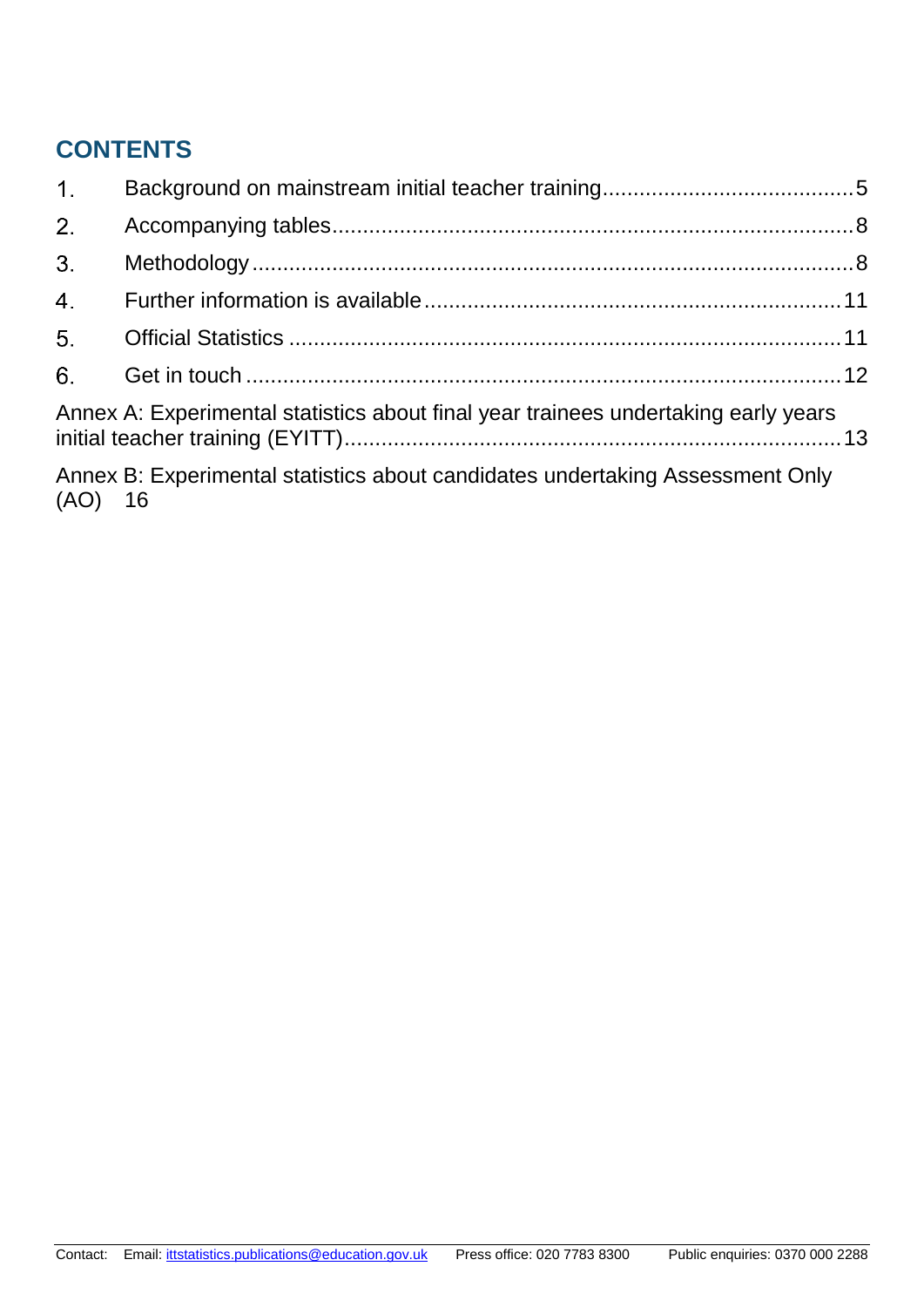# **CONTENTS**

| 1 <sub>1</sub> |                                                                                    |  |
|----------------|------------------------------------------------------------------------------------|--|
| 2.             |                                                                                    |  |
| 3 <sub>1</sub> |                                                                                    |  |
| 4.             |                                                                                    |  |
| 5.             |                                                                                    |  |
| 6.             |                                                                                    |  |
|                | Annex A: Experimental statistics about final year trainees undertaking early years |  |
| $(AO)$ 16      | Annex B: Experimental statistics about candidates undertaking Assessment Only      |  |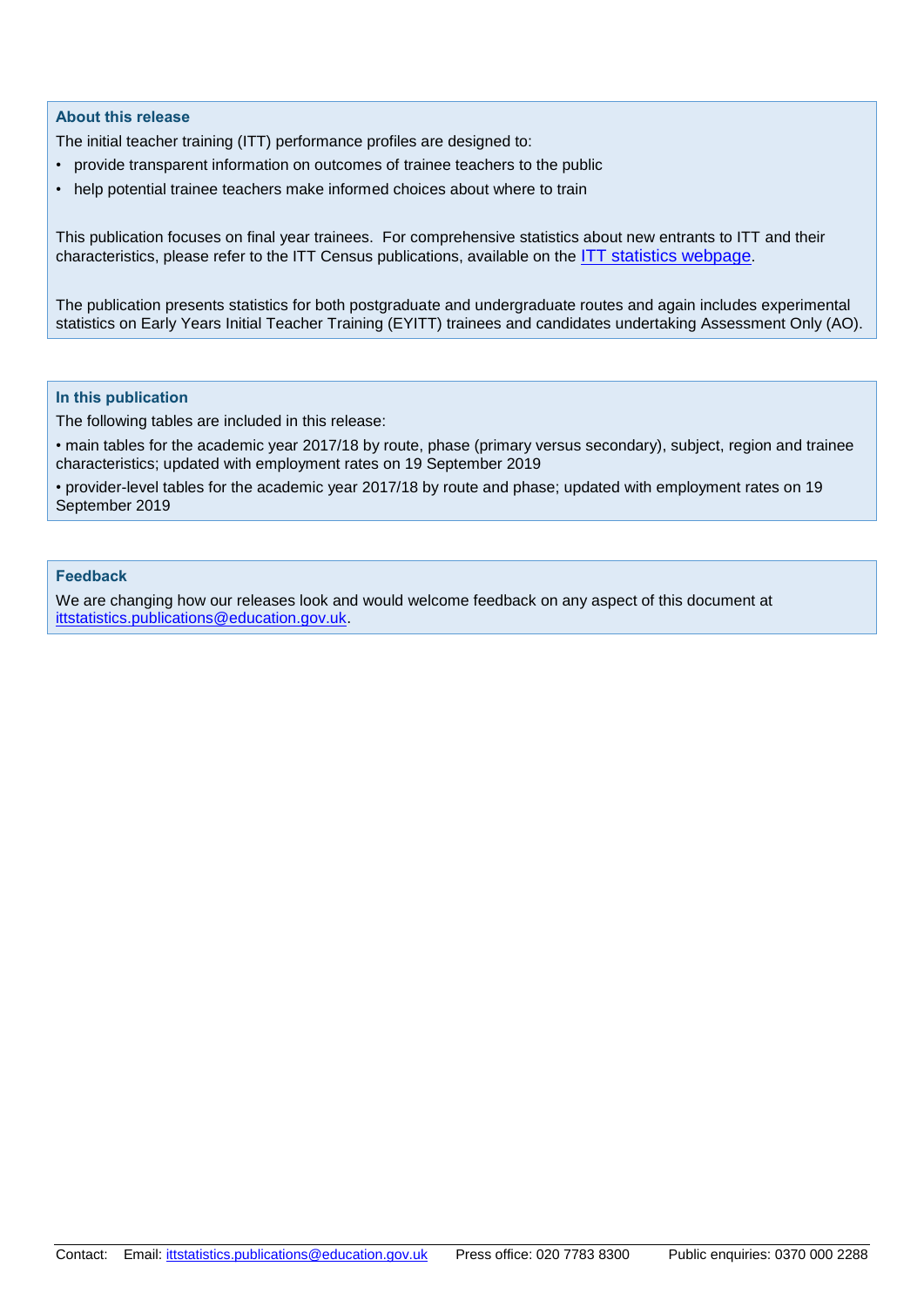#### **About this release**

The initial teacher training (ITT) performance profiles are designed to:

- provide transparent information on outcomes of trainee teachers to the public
- help potential trainee teachers make informed choices about where to train

This publication focuses on final year trainees. For comprehensive statistics about new entrants to ITT and their characteristics, please refer to the ITT Census publications, available on the [ITT statistics webpage](https://www.gov.uk/government/collections/statistics-teacher-training).

The publication presents statistics for both postgraduate and undergraduate routes and again includes experimental statistics on Early Years Initial Teacher Training (EYITT) trainees and candidates undertaking Assessment Only (AO).

#### **In this publication**

The following tables are included in this release:

• main tables for the academic year 2017/18 by route, phase (primary versus secondary), subject, region and trainee characteristics; updated with employment rates on 19 September 2019

• provider-level tables for the academic year 2017/18 by route and phase; updated with employment rates on 19 September 2019

#### **Feedback**

We are changing how our releases look and would welcome feedback on any aspect of this document at [ittstatistics.publications@education.gov.uk.](mailto:ittstatistics.publications@education.gov.uk)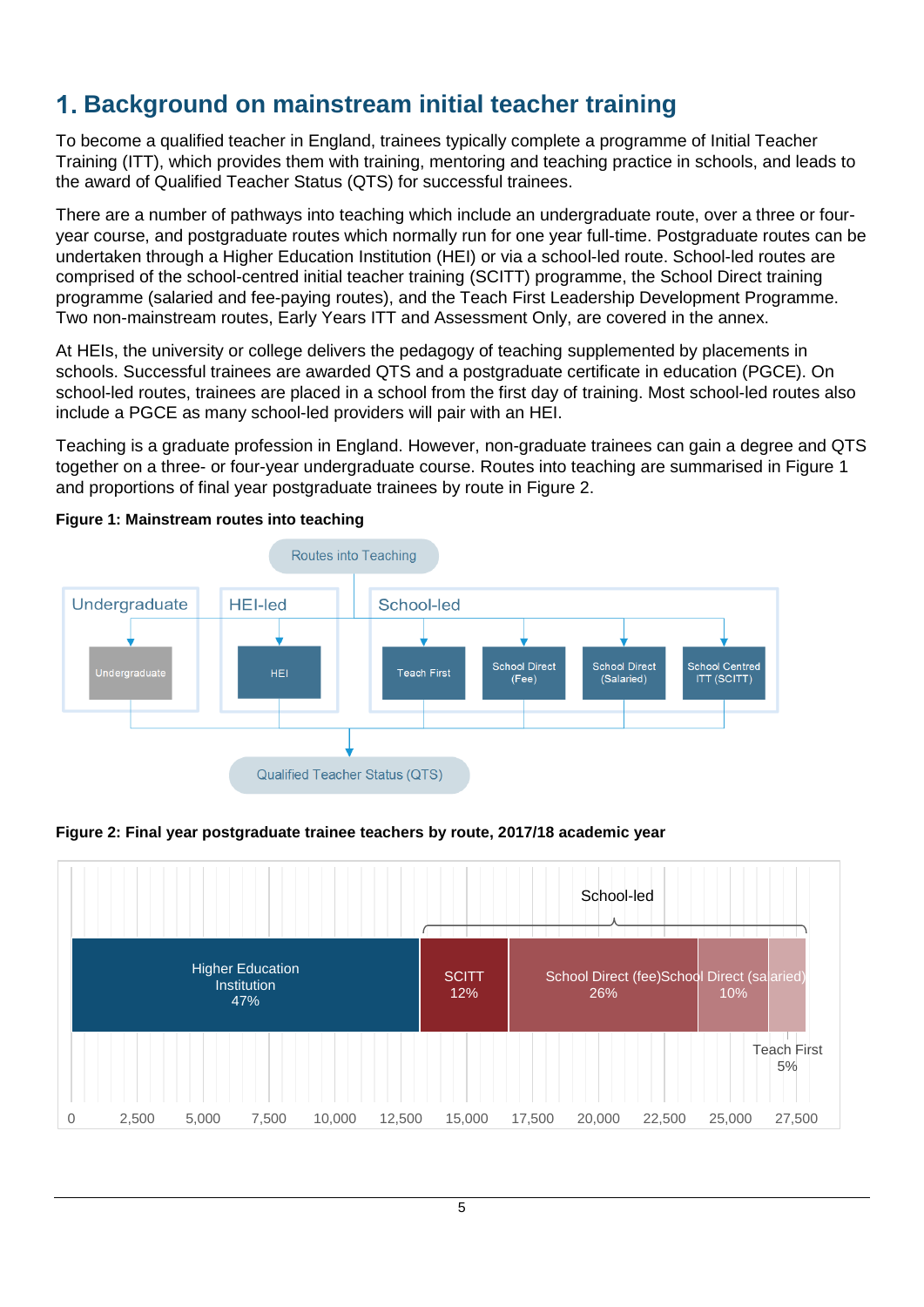# <span id="page-4-0"></span>**Background on mainstream initial teacher training**

To become a qualified teacher in England, trainees typically complete a programme of Initial Teacher Training (ITT), which provides them with training, mentoring and teaching practice in schools, and leads to the award of Qualified Teacher Status (QTS) for successful trainees.

There are a number of pathways into teaching which include an undergraduate route, over a three or fouryear course, and postgraduate routes which normally run for one year full-time. Postgraduate routes can be undertaken through a Higher Education Institution (HEI) or via a school-led route. School-led routes are comprised of the school-centred initial teacher training (SCITT) programme, the School Direct training programme (salaried and fee-paying routes), and the Teach First Leadership Development Programme. Two non-mainstream routes, Early Years ITT and Assessment Only, are covered in the annex.

At HEIs, the university or college delivers the pedagogy of teaching supplemented by placements in schools. Successful trainees are awarded QTS and a postgraduate certificate in education (PGCE). On school-led routes, trainees are placed in a school from the first day of training. Most school-led routes also include a PGCE as many school-led providers will pair with an HEI.

Teaching is a graduate profession in England. However, non-graduate trainees can gain a degree and QTS together on a three- or four-year undergraduate course. Routes into teaching are summarised in Figure 1 and proportions of final year postgraduate trainees by route in Figure 2.



#### **Figure 1: Mainstream routes into teaching**

**Figure 2: Final year postgraduate trainee teachers by route, 2017/18 academic year**

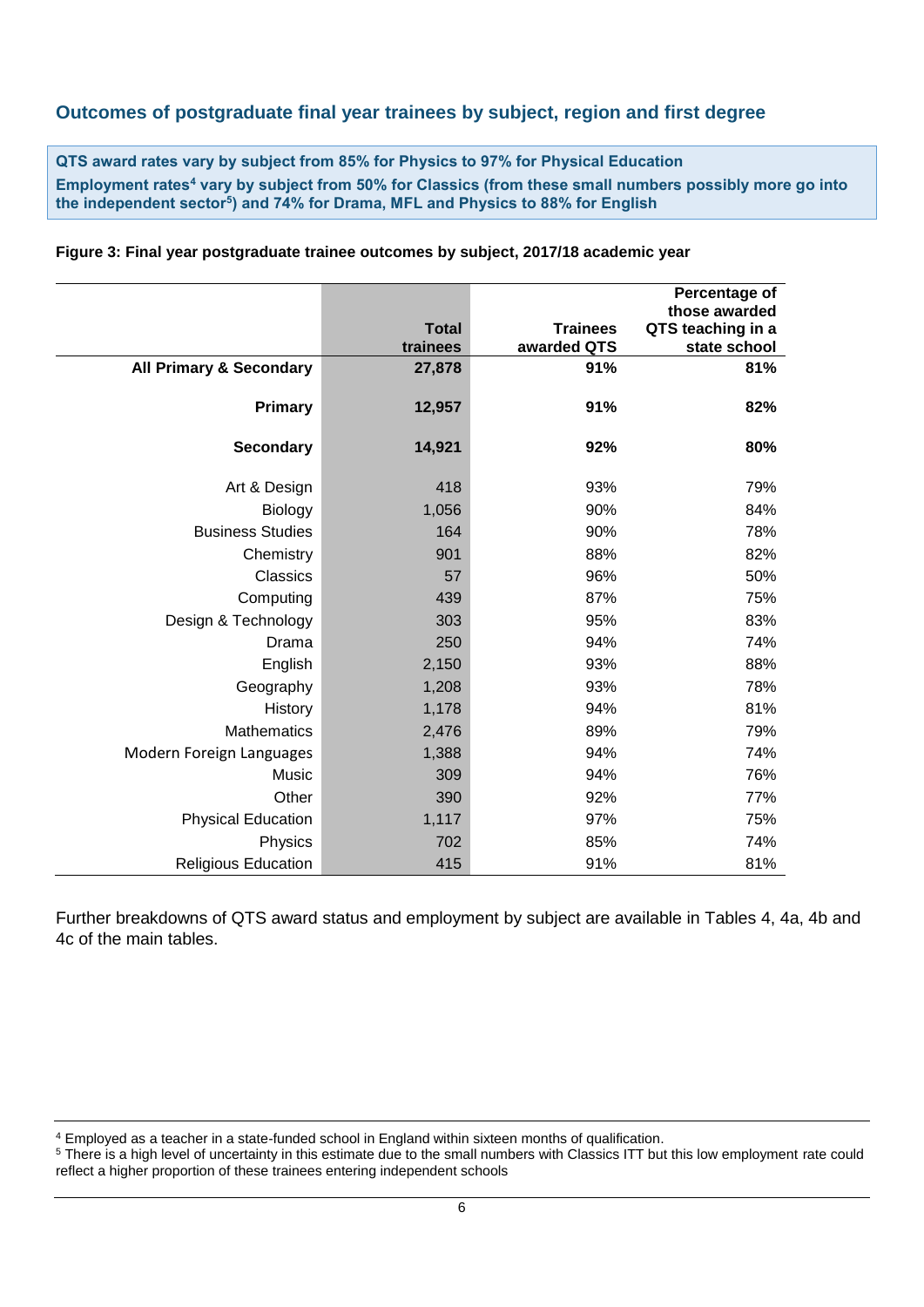### **Outcomes of postgraduate final year trainees by subject, region and first degree**

**QTS award rates vary by subject from 85% for Physics to 97% for Physical Education Employment rates<sup>4</sup> vary by subject from 50% for Classics (from these small numbers possibly more go into the independent sector<sup>5</sup> ) and 74% for Drama, MFL and Physics to 88% for English**

|                                    |                          |                 | Percentage of       |
|------------------------------------|--------------------------|-----------------|---------------------|
|                                    |                          |                 | those awarded       |
|                                    | <b>Total</b><br>trainees | <b>Trainees</b> | QTS teaching in a   |
|                                    |                          | awarded QTS     | state school<br>81% |
| <b>All Primary &amp; Secondary</b> | 27,878                   | 91%             |                     |
| <b>Primary</b>                     | 12,957                   | 91%             | 82%                 |
| <b>Secondary</b>                   | 14,921                   | 92%             | 80%                 |
| Art & Design                       | 418                      | 93%             | 79%                 |
| Biology                            | 1,056                    | 90%             | 84%                 |
| <b>Business Studies</b>            | 164                      | 90%             | 78%                 |
| Chemistry                          | 901                      | 88%             | 82%                 |
| Classics                           | 57                       | 96%             | 50%                 |
| Computing                          | 439                      | 87%             | 75%                 |
| Design & Technology                | 303                      | 95%             | 83%                 |
| Drama                              | 250                      | 94%             | 74%                 |
| English                            | 2,150                    | 93%             | 88%                 |
| Geography                          | 1,208                    | 93%             | 78%                 |
| History                            | 1,178                    | 94%             | 81%                 |
| <b>Mathematics</b>                 | 2,476                    | 89%             | 79%                 |
| Modern Foreign Languages           | 1,388                    | 94%             | 74%                 |
| Music                              | 309                      | 94%             | 76%                 |
| Other                              | 390                      | 92%             | 77%                 |
| <b>Physical Education</b>          | 1,117                    | 97%             | 75%                 |
| Physics                            | 702                      | 85%             | 74%                 |
| <b>Religious Education</b>         | 415                      | 91%             | 81%                 |

**Figure 3: Final year postgraduate trainee outcomes by subject, 2017/18 academic year**

Further breakdowns of QTS award status and employment by subject are available in Tables 4, 4a, 4b and 4c of the main tables.

<sup>4</sup> Employed as a teacher in a state-funded school in England within sixteen months of qualification.

<sup>&</sup>lt;sup>5</sup> There is a high level of uncertainty in this estimate due to the small numbers with Classics ITT but this low employment rate could reflect a higher proportion of these trainees entering independent schools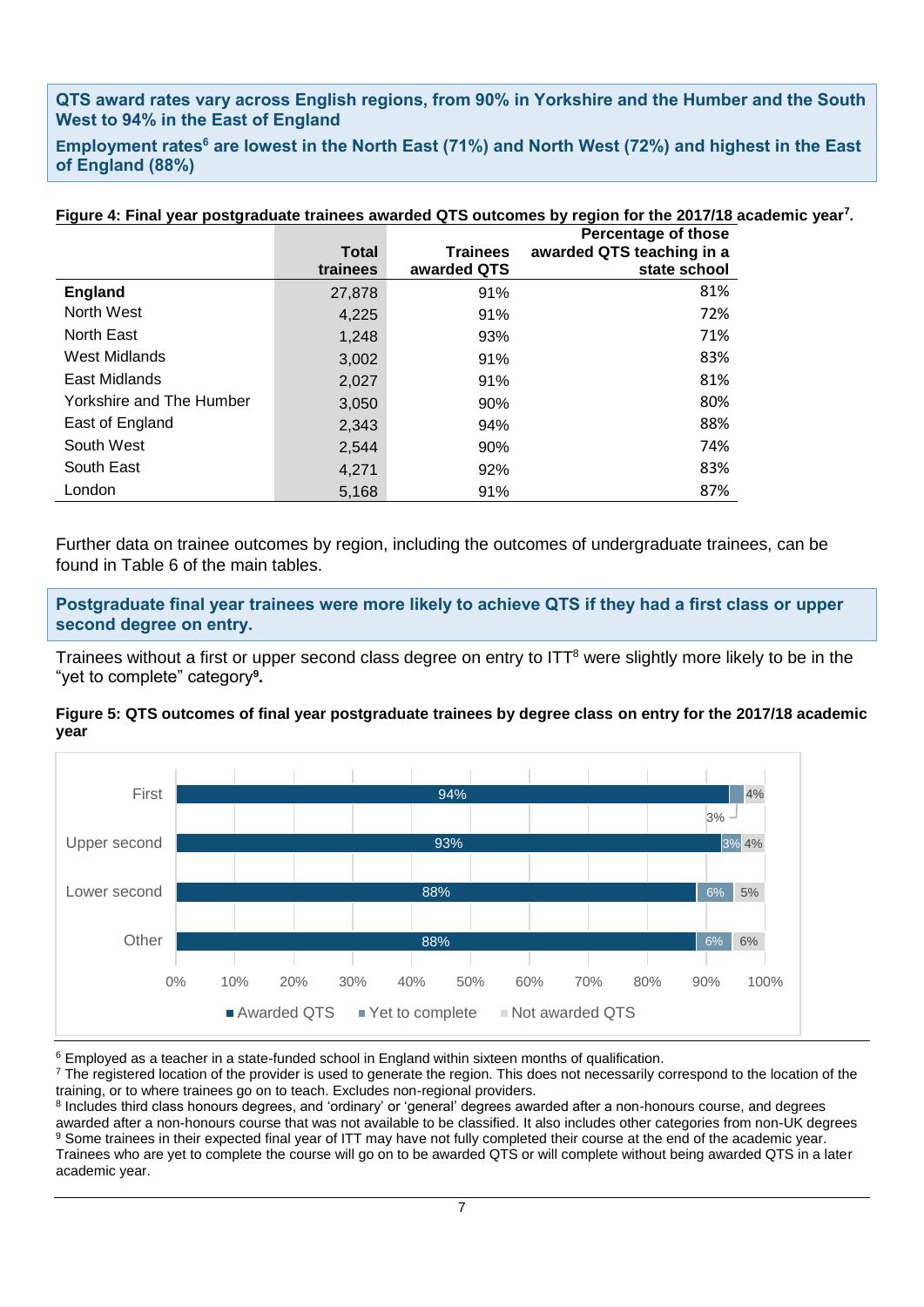### **QTS award rates vary across English regions, from 90% in Yorkshire and the Humber and the South West to 94% in the East of England**

**Employment rates<sup>6</sup> are lowest in the North East (71%) and North West (72%) and highest in the East of England (88%)**

|                          |                          |                                | Figure 4: Final year postgraduate trainees awarded QTS outcomes by region for the 2017/18 academic year <sup>7</sup> .<br><b>Percentage of those</b> |  |
|--------------------------|--------------------------|--------------------------------|------------------------------------------------------------------------------------------------------------------------------------------------------|--|
|                          | <b>Total</b><br>trainees | <b>Trainees</b><br>awarded QTS | awarded QTS teaching in a<br>state school                                                                                                            |  |
| <b>England</b>           | 27,878                   | 91%                            | 81%                                                                                                                                                  |  |
| North West               | 4,225                    | 91%                            | 72%                                                                                                                                                  |  |
| North East               | 1,248                    | 93%                            | 71%                                                                                                                                                  |  |
| West Midlands            | 3,002                    | 91%                            | 83%                                                                                                                                                  |  |
| East Midlands            | 2,027                    | 91%                            | 81%                                                                                                                                                  |  |
| Yorkshire and The Humber | 3,050                    | 90%                            | 80%                                                                                                                                                  |  |
| East of England          | 2,343                    | 94%                            | 88%                                                                                                                                                  |  |
| South West               | 2,544                    | 90%                            | 74%                                                                                                                                                  |  |
| South East               | 4,271                    | 92%                            | 83%                                                                                                                                                  |  |
| London                   | 5,168                    | 91%                            | 87%                                                                                                                                                  |  |

Further data on trainee outcomes by region, including the outcomes of undergraduate trainees, can be found in Table 6 of the main tables.

**Postgraduate final year trainees were more likely to achieve QTS if they had a first class or upper second degree on entry.**

Trainees without a first or upper second class degree on entry to  $ITT<sup>8</sup>$  were slightly more likely to be in the "yet to complete" category**<sup>9</sup> .**

#### **Figure 5: QTS outcomes of final year postgraduate trainees by degree class on entry for the 2017/18 academic year**



<sup>6</sup> Employed as a teacher in a state-funded school in England within sixteen months of qualification.

<sup>7</sup> The registered location of the provider is used to generate the region. This does not necessarily correspond to the location of the training, or to where trainees go on to teach. Excludes non-regional providers.

<sup>8</sup> Includes third class honours degrees, and 'ordinary' or 'general' degrees awarded after a non-honours course, and degrees awarded after a non-honours course that was not available to be classified. It also includes other categories from non-UK degrees <sup>9</sup> Some trainees in their expected final year of ITT may have not fully completed their course at the end of the academic year. Trainees who are yet to complete the course will go on to be awarded QTS or will complete without being awarded QTS in a later academic year.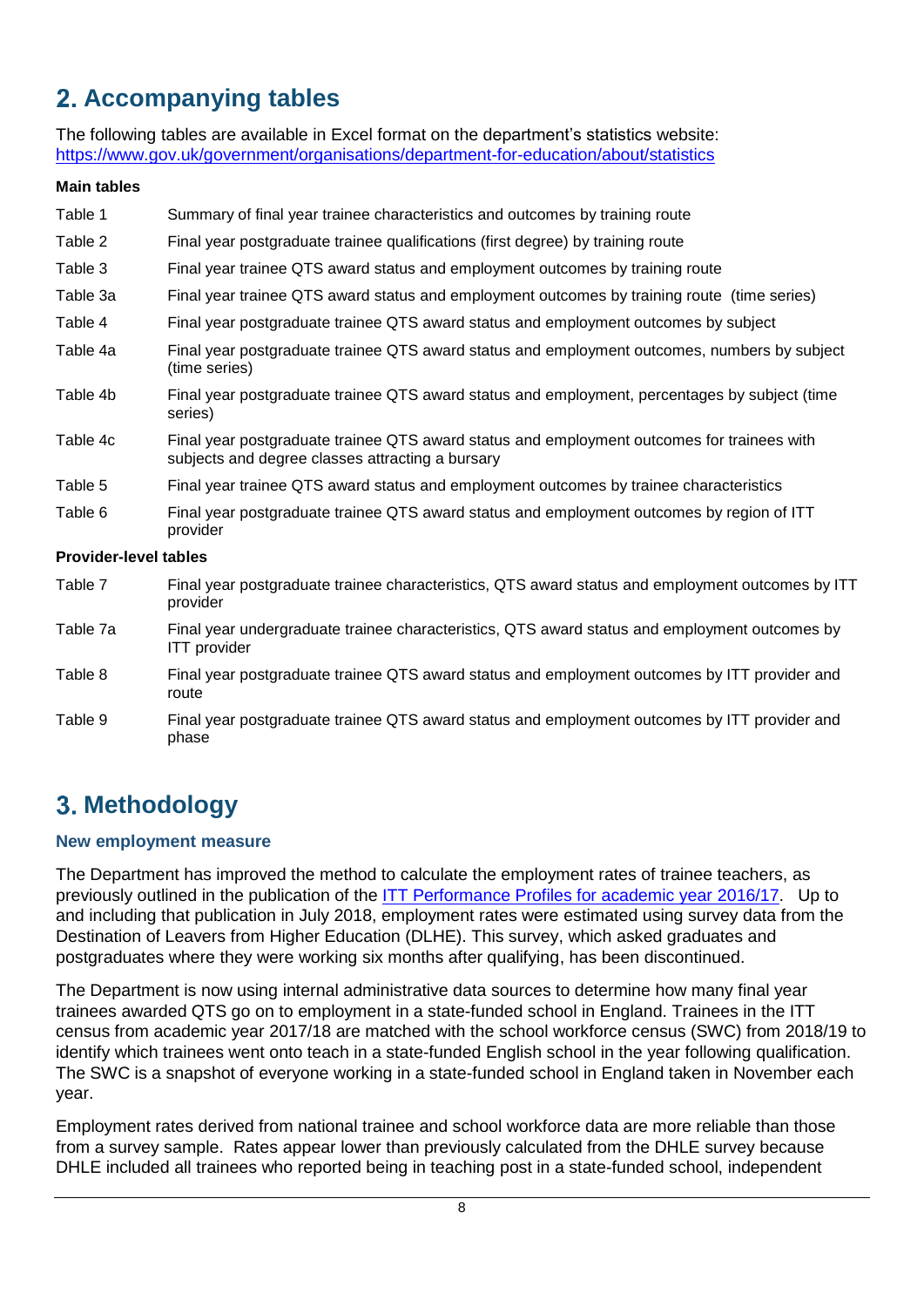# <span id="page-7-0"></span>**Accompanying tables**

The following tables are available in Excel format on the department's statistics website: <https://www.gov.uk/government/organisations/department-for-education/about/statistics>

#### **Main tables**

- Table 1 Summary of final year trainee characteristics and outcomes by training route
- Table 2 Final year postgraduate trainee qualifications (first degree) by training route
- Table 3 Final year trainee QTS award status and employment outcomes by training route
- Table 3a Final year trainee QTS award status and employment outcomes by training route (time series)
- Table 4 Final year postgraduate trainee QTS award status and employment outcomes by subject
- Table 4a Final year postgraduate trainee QTS award status and employment outcomes, numbers by subject (time series)
- Table 4b Final year postgraduate trainee QTS award status and employment, percentages by subject (time series)
- Table 4c Final year postgraduate trainee QTS award status and employment outcomes for trainees with subjects and degree classes attracting a bursary
- Table 5 Final year trainee QTS award status and employment outcomes by trainee characteristics
- Table 6 Final year postgraduate trainee QTS award status and employment outcomes by region of ITT provider

#### **Provider-level tables**

Table 7 Final year postgraduate trainee characteristics, QTS award status and employment outcomes by ITT provider Table 7a Final year undergraduate trainee characteristics, QTS award status and employment outcomes by ITT provider Table 8 Final year postgraduate trainee QTS award status and employment outcomes by ITT provider and route Table 9 Final year postgraduate trainee QTS award status and employment outcomes by ITT provider and phase

## <span id="page-7-1"></span>**Methodology**

#### **New employment measure**

The Department has improved the method to calculate the employment rates of trainee teachers, as previously outlined in the publication of the [ITT Performance Profiles for academic year 2016/17.](https://www.gov.uk/government/statistics/initial-teacher-training-performance-profiles-2016-to-2017) Up to and including that publication in July 2018, employment rates were estimated using survey data from the Destination of Leavers from Higher Education (DLHE). This survey, which asked graduates and postgraduates where they were working six months after qualifying, has been discontinued.

The Department is now using internal administrative data sources to determine how many final year trainees awarded QTS go on to employment in a state-funded school in England. Trainees in the ITT census from academic year 2017/18 are matched with the school workforce census (SWC) from 2018/19 to identify which trainees went onto teach in a state-funded English school in the year following qualification. The SWC is a snapshot of everyone working in a state-funded school in England taken in November each year.

Employment rates derived from national trainee and school workforce data are more reliable than those from a survey sample. Rates appear lower than previously calculated from the DHLE survey because DHLE included all trainees who reported being in teaching post in a state-funded school, independent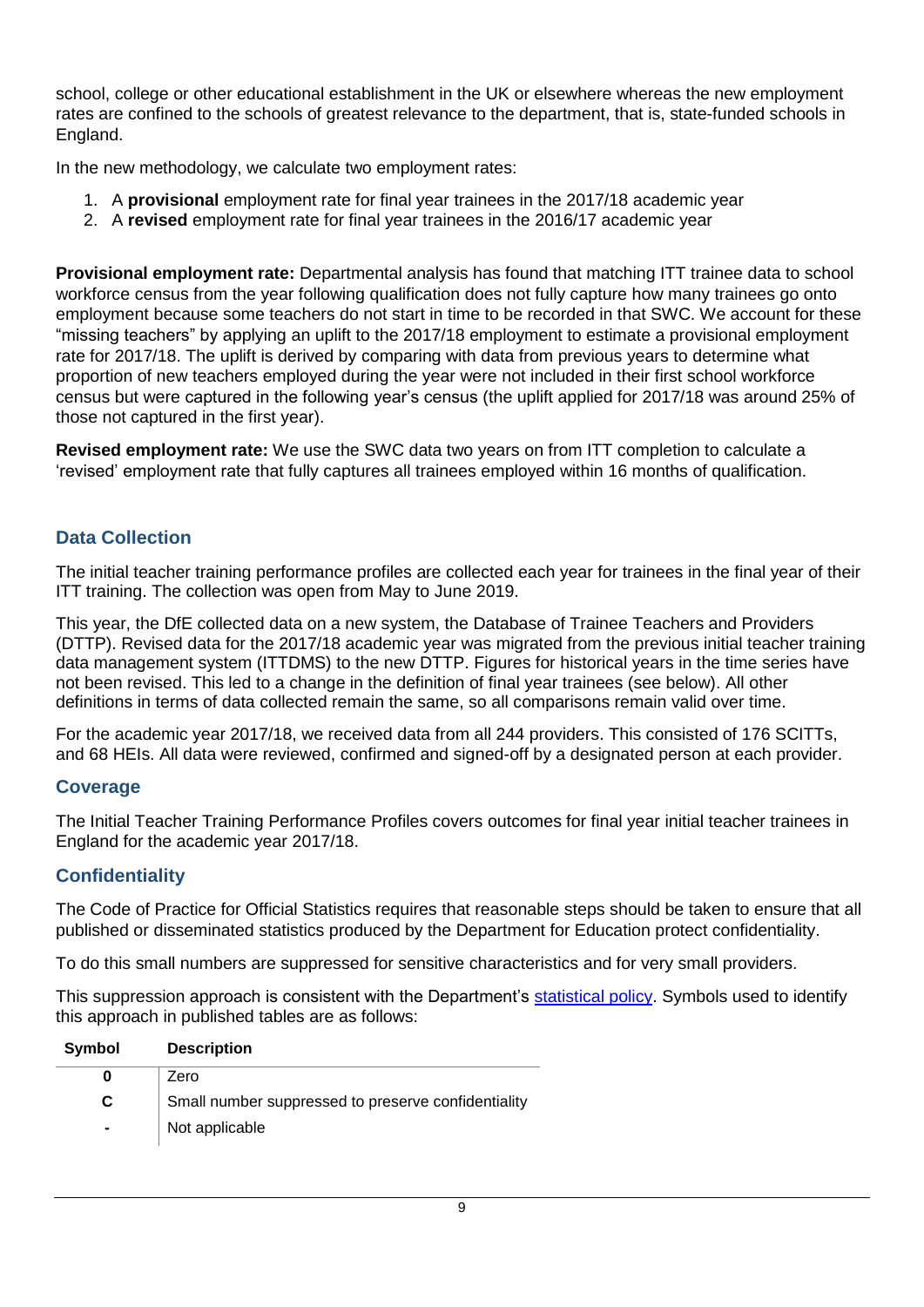school, college or other educational establishment in the UK or elsewhere whereas the new employment rates are confined to the schools of greatest relevance to the department, that is, state-funded schools in England.

In the new methodology, we calculate two employment rates:

- 1. A **provisional** employment rate for final year trainees in the 2017/18 academic year
- 2. A **revised** employment rate for final year trainees in the 2016/17 academic year

**Provisional employment rate:** Departmental analysis has found that matching ITT trainee data to school workforce census from the year following qualification does not fully capture how many trainees go onto employment because some teachers do not start in time to be recorded in that SWC. We account for these "missing teachers" by applying an uplift to the 2017/18 employment to estimate a provisional employment rate for 2017/18. The uplift is derived by comparing with data from previous years to determine what proportion of new teachers employed during the year were not included in their first school workforce census but were captured in the following year's census (the uplift applied for 2017/18 was around 25% of those not captured in the first year).

**Revised employment rate:** We use the SWC data two years on from ITT completion to calculate a 'revised' employment rate that fully captures all trainees employed within 16 months of qualification.

## **Data Collection**

The initial teacher training performance profiles are collected each year for trainees in the final year of their ITT training. The collection was open from May to June 2019.

This year, the DfE collected data on a new system, the Database of Trainee Teachers and Providers (DTTP). Revised data for the 2017/18 academic year was migrated from the previous initial teacher training data management system (ITTDMS) to the new DTTP. Figures for historical years in the time series have not been revised. This led to a change in the definition of final year trainees (see below). All other definitions in terms of data collected remain the same, so all comparisons remain valid over time.

For the academic year 2017/18, we received data from all 244 providers. This consisted of 176 SCITTs, and 68 HEIs. All data were reviewed, confirmed and signed-off by a designated person at each provider.

### **Coverage**

The Initial Teacher Training Performance Profiles covers outcomes for final year initial teacher trainees in England for the academic year 2017/18.

### **Confidentiality**

The Code of Practice for Official Statistics requires that reasonable steps should be taken to ensure that all published or disseminated statistics produced by the Department for Education protect confidentiality.

To do this small numbers are suppressed for sensitive characteristics and for very small providers.

This suppression approach is consistent with the Department's [statistical policy.](https://assets.publishing.service.gov.uk/government/uploads/system/uploads/attachment_data/file/773124/External_confidentiality_policy.pdf) Symbols used to identify this approach in published tables are as follows:

| Symbol         | <b>Description</b>                                  |
|----------------|-----------------------------------------------------|
|                | Zero                                                |
| C              | Small number suppressed to preserve confidentiality |
| $\blacksquare$ | Not applicable                                      |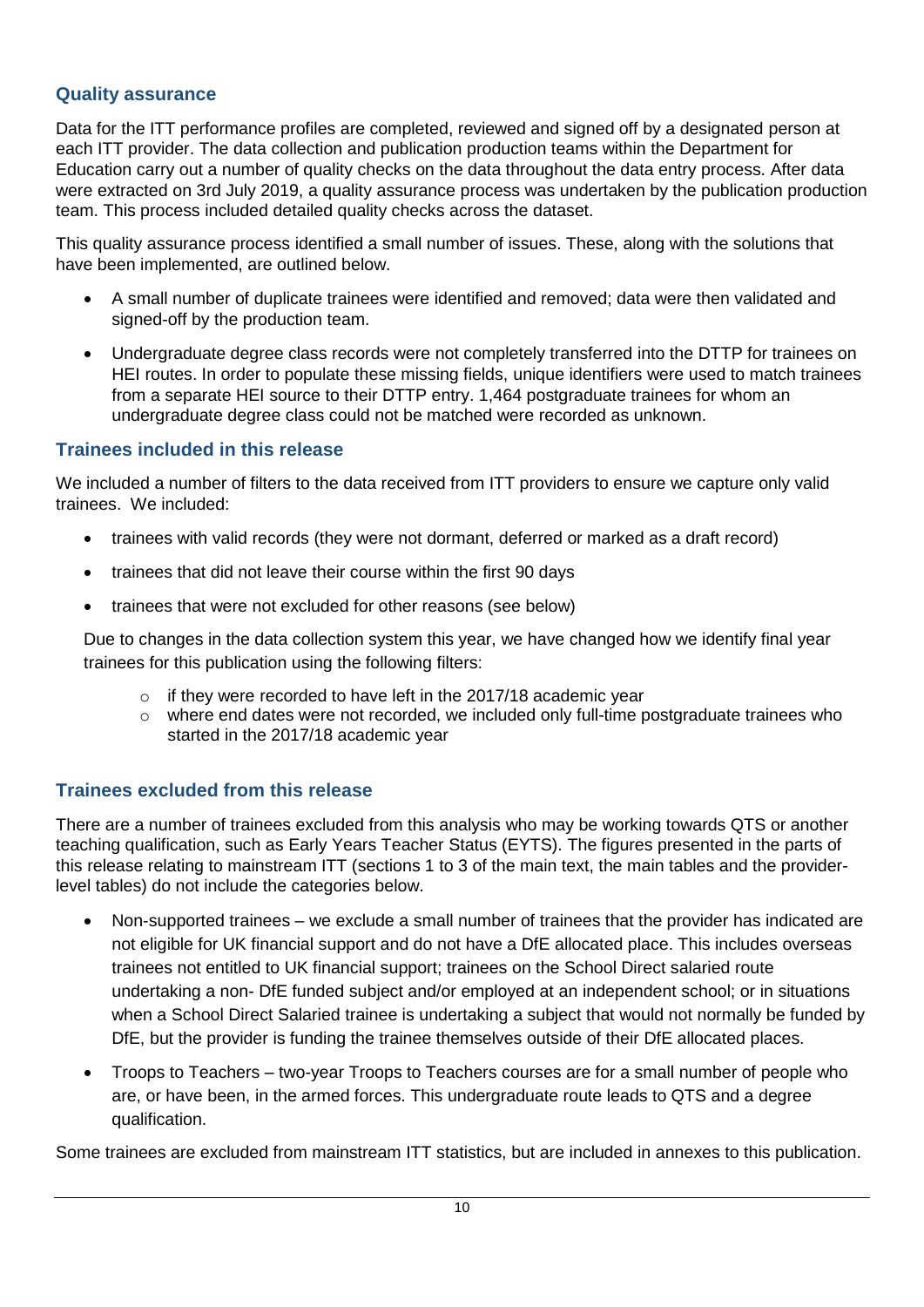### **Quality assurance**

Data for the ITT performance profiles are completed, reviewed and signed off by a designated person at each ITT provider. The data collection and publication production teams within the Department for Education carry out a number of quality checks on the data throughout the data entry process. After data were extracted on 3rd July 2019, a quality assurance process was undertaken by the publication production team. This process included detailed quality checks across the dataset.

This quality assurance process identified a small number of issues. These, along with the solutions that have been implemented, are outlined below.

- A small number of duplicate trainees were identified and removed; data were then validated and signed-off by the production team.
- Undergraduate degree class records were not completely transferred into the DTTP for trainees on HEI routes. In order to populate these missing fields, unique identifiers were used to match trainees from a separate HEI source to their DTTP entry. 1,464 postgraduate trainees for whom an undergraduate degree class could not be matched were recorded as unknown.

### **Trainees included in this release**

We included a number of filters to the data received from ITT providers to ensure we capture only valid trainees. We included:

- trainees with valid records (they were not dormant, deferred or marked as a draft record)
- trainees that did not leave their course within the first 90 days
- trainees that were not excluded for other reasons (see below)

Due to changes in the data collection system this year, we have changed how we identify final year trainees for this publication using the following filters:

- $\circ$  if they were recorded to have left in the 2017/18 academic year
- $\circ$  where end dates were not recorded, we included only full-time postgraduate trainees who started in the 2017/18 academic year

### **Trainees excluded from this release**

There are a number of trainees excluded from this analysis who may be working towards QTS or another teaching qualification, such as Early Years Teacher Status (EYTS). The figures presented in the parts of this release relating to mainstream ITT (sections 1 to 3 of the main text, the main tables and the providerlevel tables) do not include the categories below.

- Non-supported trainees we exclude a small number of trainees that the provider has indicated are not eligible for UK financial support and do not have a DfE allocated place. This includes overseas trainees not entitled to UK financial support; trainees on the School Direct salaried route undertaking a non- DfE funded subject and/or employed at an independent school; or in situations when a School Direct Salaried trainee is undertaking a subject that would not normally be funded by DfE, but the provider is funding the trainee themselves outside of their DfE allocated places.
- Troops to Teachers two-year Troops to Teachers courses are for a small number of people who are, or have been, in the armed forces. This undergraduate route leads to QTS and a degree qualification.

Some trainees are excluded from mainstream ITT statistics, but are included in annexes to this publication.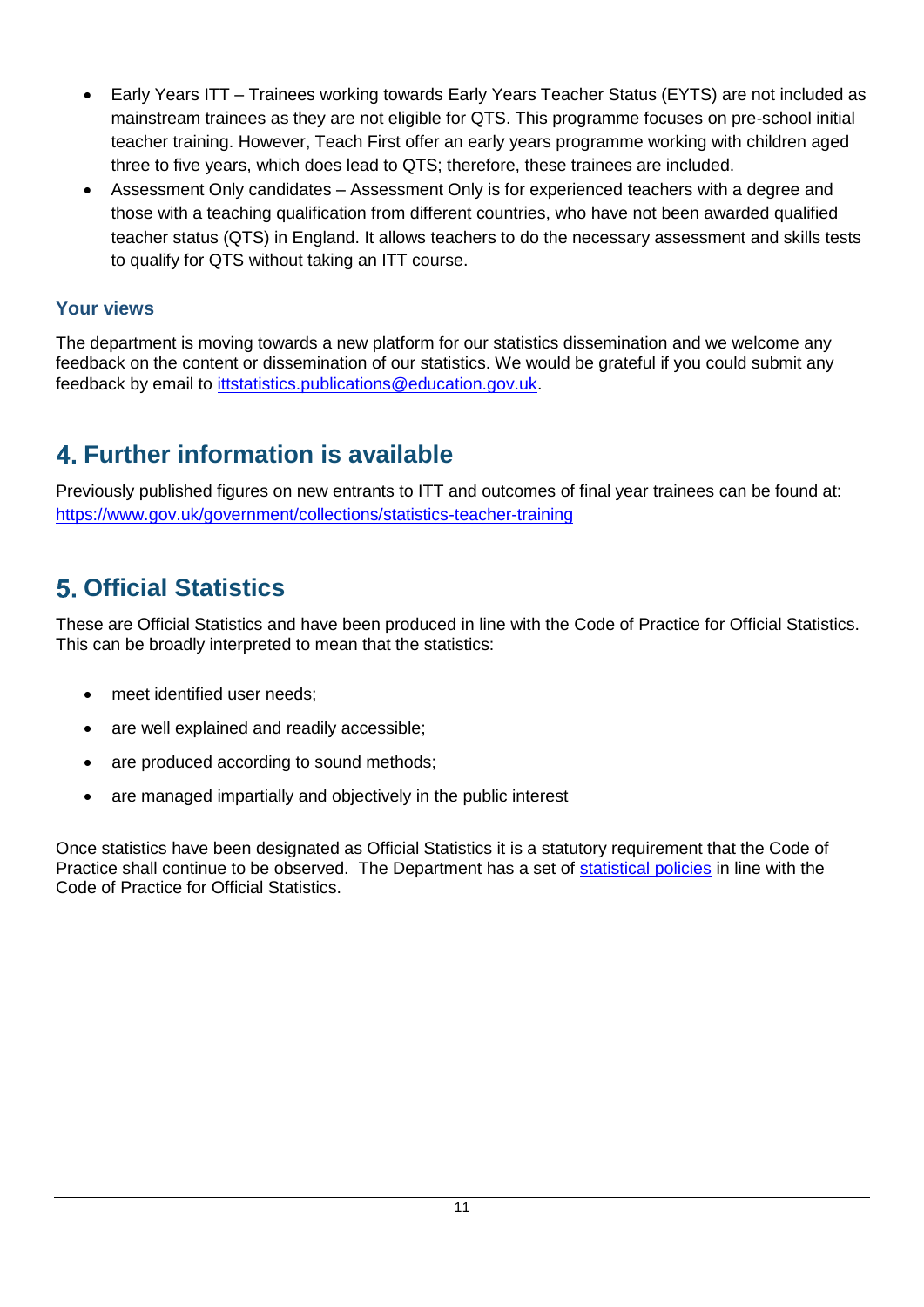- Early Years ITT Trainees working towards Early Years Teacher Status (EYTS) are not included as mainstream trainees as they are not eligible for QTS. This programme focuses on pre-school initial teacher training. However, Teach First offer an early years programme working with children aged three to five years, which does lead to QTS; therefore, these trainees are included.
- Assessment Only candidates Assessment Only is for experienced teachers with a degree and those with a teaching qualification from different countries, who have not been awarded qualified teacher status (QTS) in England. It allows teachers to do the necessary assessment and skills tests to qualify for QTS without taking an ITT course.

### **Your views**

The department is moving towards a new platform for our statistics dissemination and we welcome any feedback on the content or dissemination of our statistics. We would be grateful if you could submit any feedback by email to [ittstatistics.publications@education.gov.uk.](mailto:ittstatistics.publications@education.gov.uk)

# <span id="page-10-0"></span>**Further information is available**

Previously published figures on new entrants to ITT and outcomes of final year trainees can be found at: <https://www.gov.uk/government/collections/statistics-teacher-training>

# <span id="page-10-1"></span>**Official Statistics**

These are Official Statistics and have been produced in line with the Code of Practice for Official Statistics. This can be broadly interpreted to mean that the statistics:

- meet identified user needs;
- are well explained and readily accessible;
- are produced according to sound methods;
- are managed impartially and objectively in the public interest

Once statistics have been designated as Official Statistics it is a statutory requirement that the Code of Practice shall continue to be observed. The Department has a set of [statistical policies](http://www.gov.uk/government/publications/standards-for-official-statistics-published-by-the-department-for-education) in line with the Code of Practice for Official Statistics.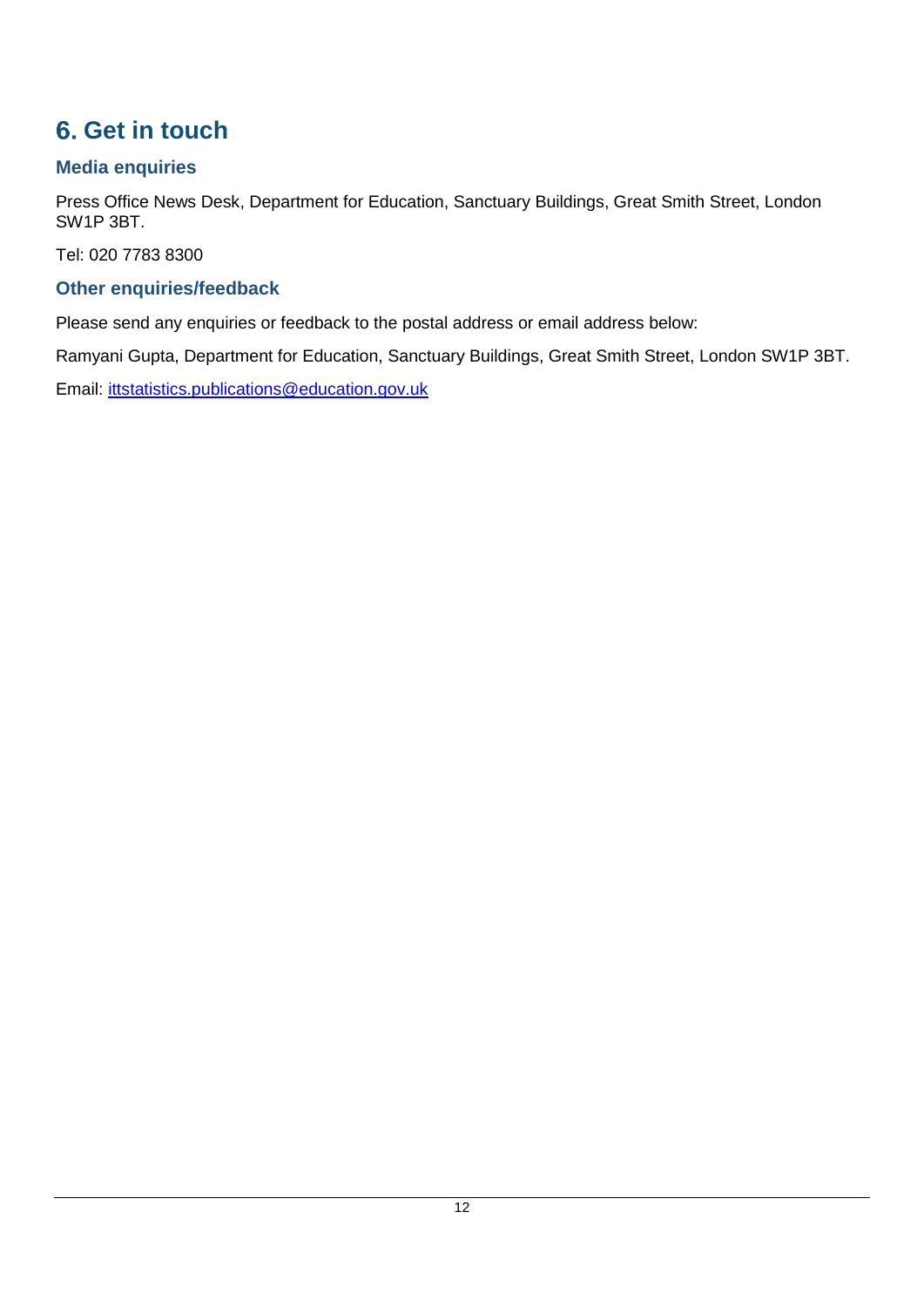# <span id="page-11-0"></span>**6.** Get in touch

## **Media enquiries**

Press Office News Desk, Department for Education, Sanctuary Buildings, Great Smith Street, London SW1P 3BT.

Tel: 020 7783 8300

## **Other enquiries/feedback**

Please send any enquiries or feedback to the postal address or email address below:

Ramyani Gupta, Department for Education, Sanctuary Buildings, Great Smith Street, London SW1P 3BT.

Email: [ittstatistics.publications@education.gov.uk](mailto:ittstatistics.publications@education.gov.uk)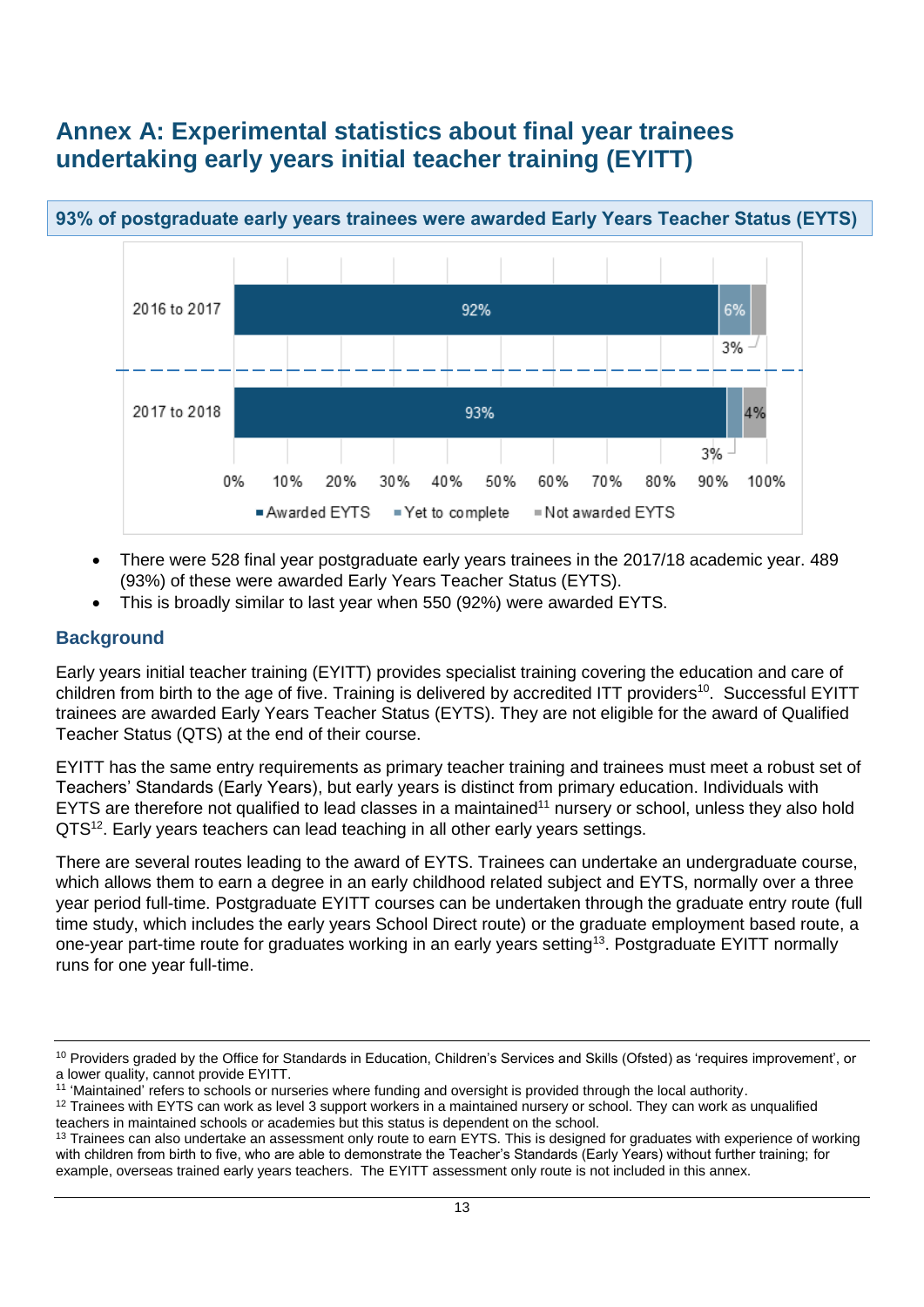# <span id="page-12-0"></span>**Annex A: Experimental statistics about final year trainees undertaking early years initial teacher training (EYITT)**



## **93% of postgraduate early years trainees were awarded Early Years Teacher Status (EYTS)**

- There were 528 final year postgraduate early years trainees in the 2017/18 academic year. 489 (93%) of these were awarded Early Years Teacher Status (EYTS).
- This is broadly similar to last year when 550 (92%) were awarded EYTS.

### **Background**

Early years initial teacher training (EYITT) provides specialist training covering the education and care of children from birth to the age of five. Training is delivered by accredited ITT providers<sup>10</sup>. Successful EYITT trainees are awarded Early Years Teacher Status (EYTS). They are not eligible for the award of Qualified Teacher Status (QTS) at the end of their course.

EYITT has the same entry requirements as primary teacher training and trainees must meet a robust set of Teachers' Standards (Early Years), but early years is distinct from primary education. Individuals with EYTS are therefore not qualified to lead classes in a maintained<sup>11</sup> nursery or school, unless they also hold QTS<sup>12</sup>. Early years teachers can lead teaching in all other early years settings.

There are several routes leading to the award of EYTS. Trainees can undertake an undergraduate course, which allows them to earn a degree in an early childhood related subject and EYTS, normally over a three year period full-time. Postgraduate EYITT courses can be undertaken through the graduate entry route (full time study, which includes the early years School Direct route) or the graduate employment based route, a one-year part-time route for graduates working in an early years setting<sup>13</sup>. Postgraduate EYITT normally runs for one year full-time.

<sup>10</sup> Providers graded by the Office for Standards in Education, Children's Services and Skills (Ofsted) as 'requires improvement', or a lower quality, cannot provide EYITT.

<sup>&</sup>lt;sup>11</sup> 'Maintained' refers to schools or nurseries where funding and oversight is provided through the local authority.

 $12$  Trainees with EYTS can work as level 3 support workers in a maintained nursery or school. They can work as unqualified teachers in maintained schools or academies but this status is dependent on the school.

<sup>&</sup>lt;sup>13</sup> Trainees can also undertake an assessment only route to earn EYTS. This is designed for graduates with experience of working with children from birth to five, who are able to demonstrate the Teacher's Standards (Early Years) without further training; for example, overseas trained early years teachers. The EYITT assessment only route is not included in this annex.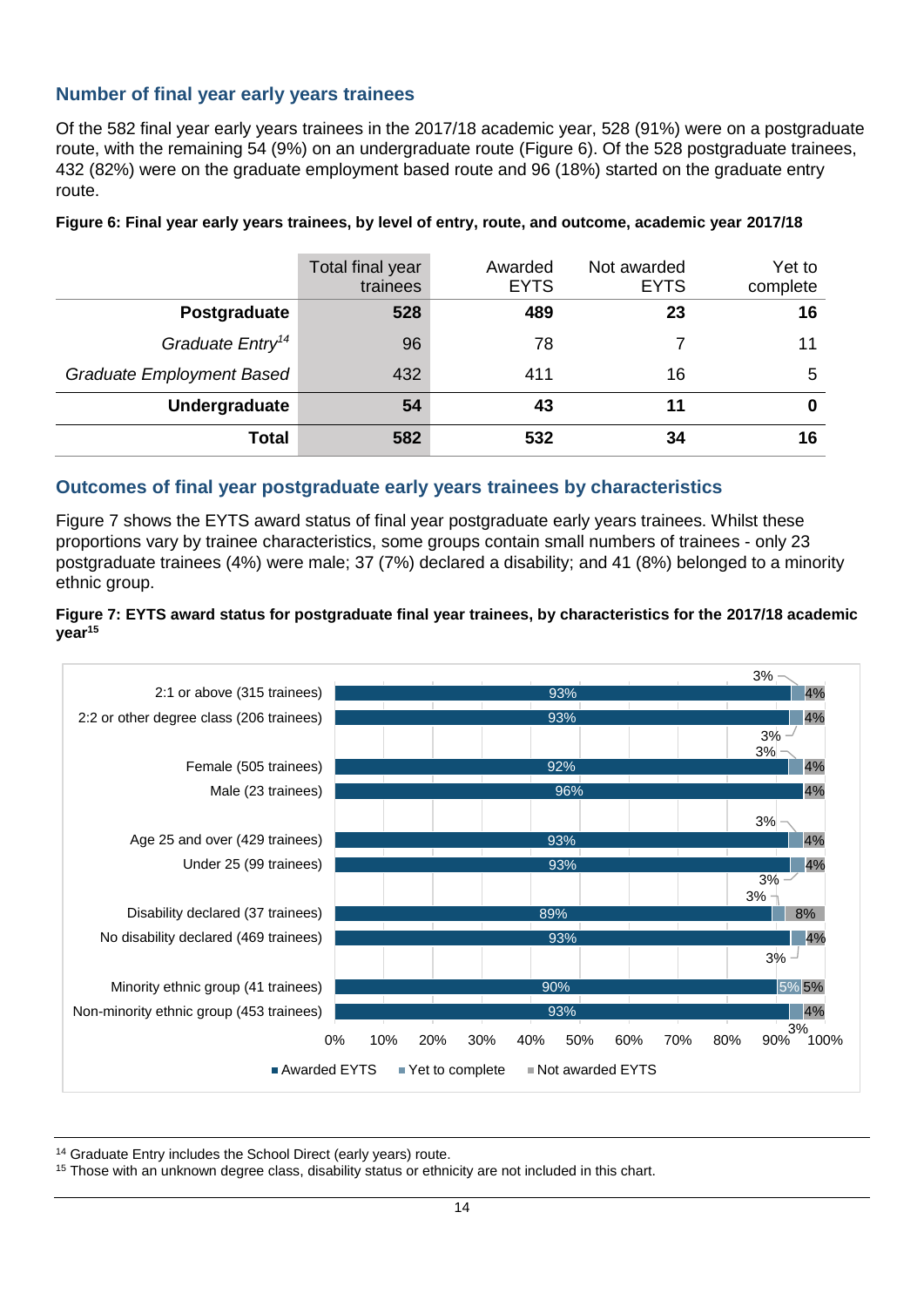### **Number of final year early years trainees**

Of the 582 final year early years trainees in the 2017/18 academic year, 528 (91%) were on a postgraduate route, with the remaining 54 (9%) on an undergraduate route (Figure 6). Of the 528 postgraduate trainees, 432 (82%) were on the graduate employment based route and 96 (18%) started on the graduate entry route.

|                              | Total final year<br>trainees | Awarded<br><b>EYTS</b> | Not awarded<br><b>EYTS</b> | Yet to<br>complete |
|------------------------------|------------------------------|------------------------|----------------------------|--------------------|
| Postgraduate                 | 528                          | 489                    | 23                         | 16                 |
| Graduate Entry <sup>14</sup> | 96                           | 78                     |                            | 11                 |
| Graduate Employment Based    | 432                          | 411                    | 16                         | 5                  |
| Undergraduate                | 54                           | 43                     | 11                         | 0                  |
| <b>Total</b>                 | 582                          | 532                    | 34                         | 16                 |

**Figure 6: Final year early years trainees, by level of entry, route, and outcome, academic year 2017/18**

#### **Outcomes of final year postgraduate early years trainees by characteristics**

Figure 7 shows the EYTS award status of final year postgraduate early years trainees. Whilst these proportions vary by trainee characteristics, some groups contain small numbers of trainees - only 23 postgraduate trainees (4%) were male; 37 (7%) declared a disability; and 41 (8%) belonged to a minority ethnic group.

#### **Figure 7: EYTS award status for postgraduate final year trainees, by characteristics for the 2017/18 academic year<sup>15</sup>**



<sup>14</sup> Graduate Entry includes the School Direct (early years) route.

<sup>15</sup> Those with an unknown degree class, disability status or ethnicity are not included in this chart.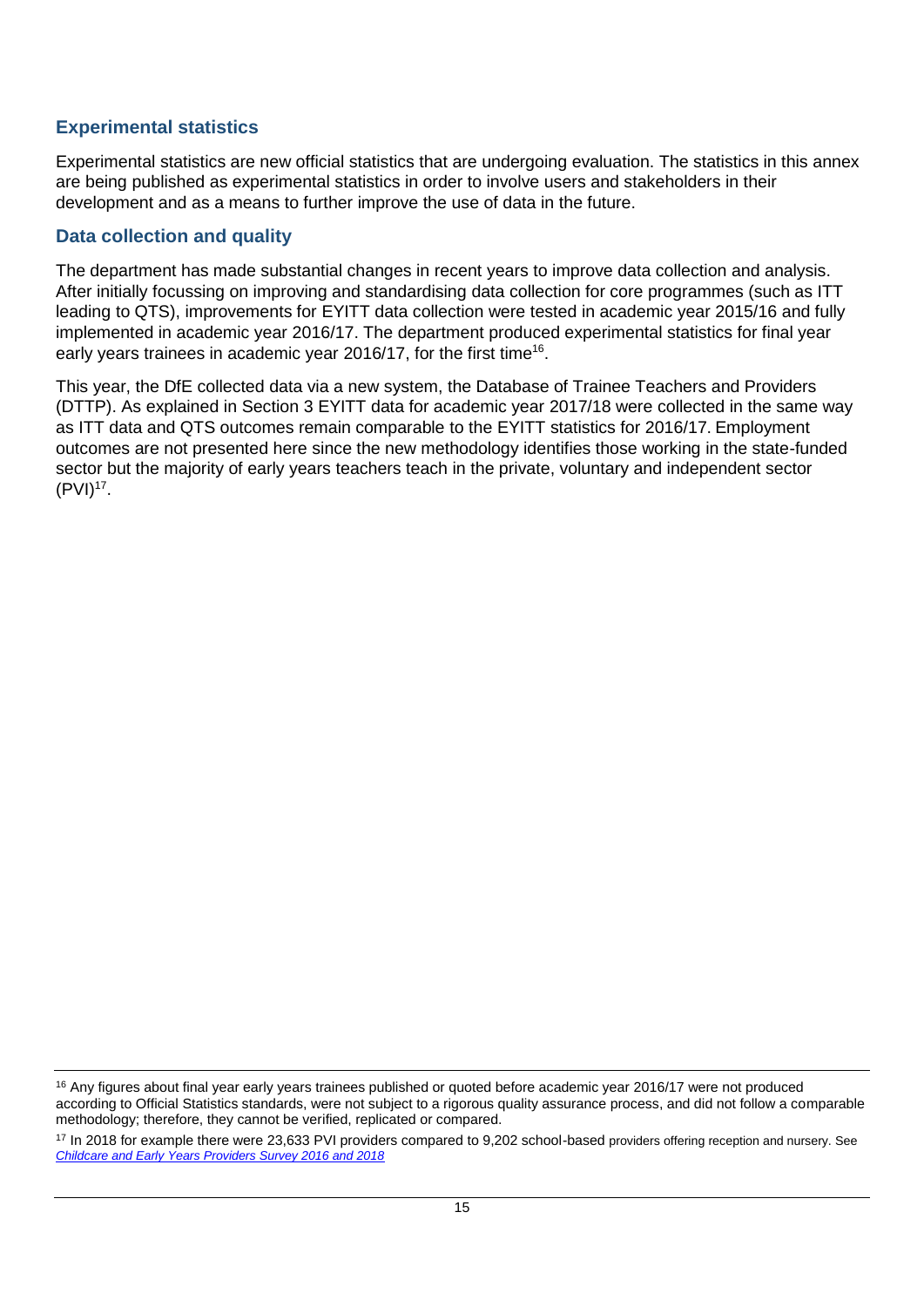### **Experimental statistics**

Experimental statistics are new official statistics that are undergoing evaluation. The statistics in this annex are being published as experimental statistics in order to involve users and stakeholders in their development and as a means to further improve the use of data in the future.

### **Data collection and quality**

The department has made substantial changes in recent years to improve data collection and analysis. After initially focussing on improving and standardising data collection for core programmes (such as ITT leading to QTS), improvements for EYITT data collection were tested in academic year 2015/16 and fully implemented in academic year 2016/17. The department produced experimental statistics for final year early years trainees in academic year 2016/17, for the first time<sup>16</sup>.

This year, the DfE collected data via a new system, the Database of Trainee Teachers and Providers (DTTP). As explained in Section 3 EYITT data for academic year 2017/18 were collected in the same way as ITT data and QTS outcomes remain comparable to the EYITT statistics for 2016/17. Employment outcomes are not presented here since the new methodology identifies those working in the state-funded sector but the majority of early years teachers teach in the private, voluntary and independent sector  $(PVI)^{17}$ .

<sup>&</sup>lt;sup>16</sup> Any figures about final year early years trainees published or quoted before academic year 2016/17 were not produced according to Official Statistics standards, were not subject to a rigorous quality assurance process, and did not follow a comparable methodology; therefore, they cannot be verified, replicated or compared.

<sup>&</sup>lt;sup>17</sup> In 2018 for example there were 23,633 PVI providers compared to 9,202 school-based providers offering reception and nursery. See *[Childcare and Early Years Providers Survey 2016 and 2018](https://www.gov.uk/government/statistics/childcare-and-early-years-providers-survey-2018)*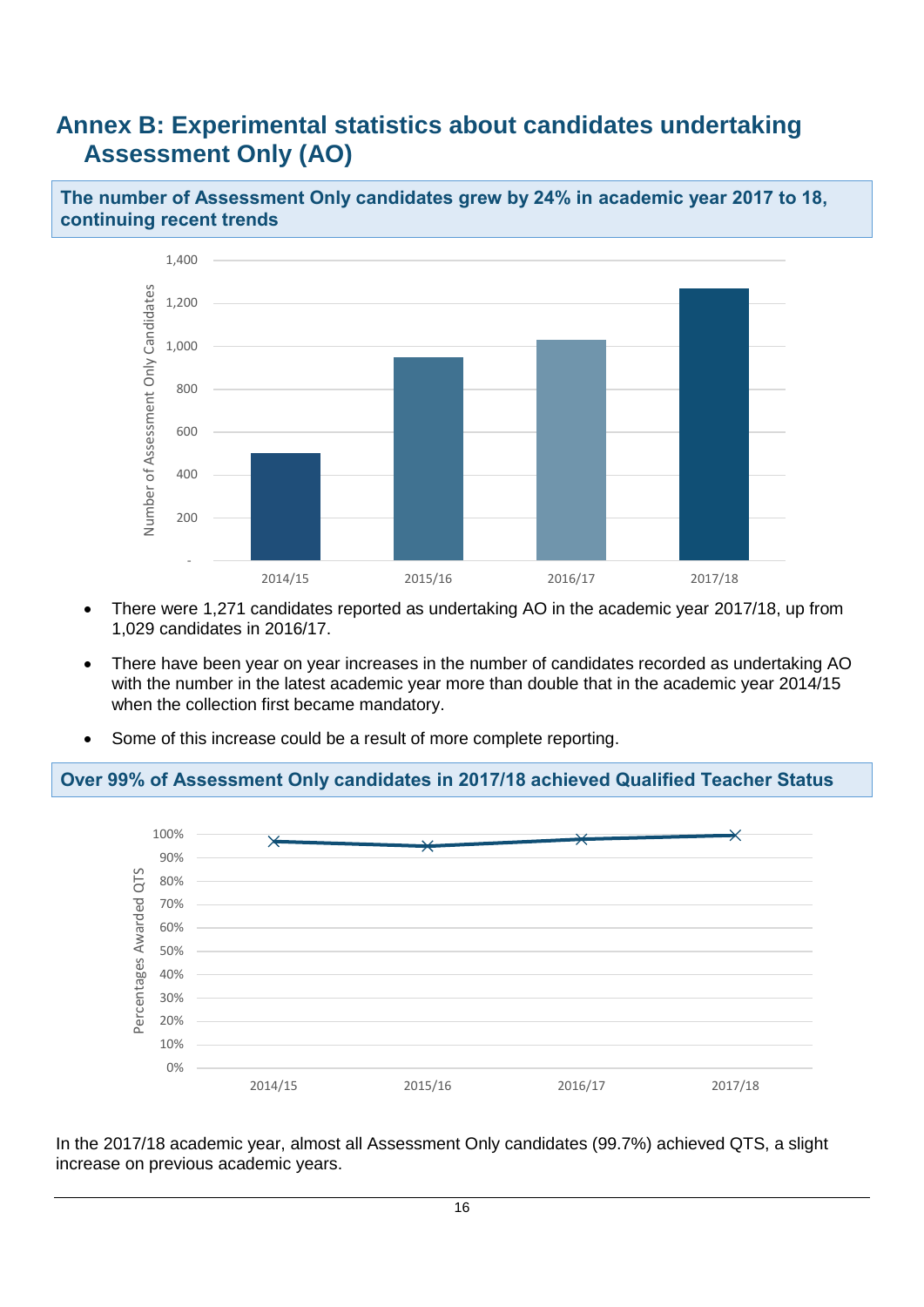## <span id="page-15-0"></span>**Annex B: Experimental statistics about candidates undertaking Assessment Only (AO)**

**The number of Assessment Only candidates grew by 24% in academic year 2017 to 18, continuing recent trends**



- There were 1,271 candidates reported as undertaking AO in the academic year 2017/18, up from 1,029 candidates in 2016/17.
- There have been year on year increases in the number of candidates recorded as undertaking AO with the number in the latest academic year more than double that in the academic year 2014/15 when the collection first became mandatory.
- Some of this increase could be a result of more complete reporting.

### **Over 99% of Assessment Only candidates in 2017/18 achieved Qualified Teacher Status**



In the 2017/18 academic year, almost all Assessment Only candidates (99.7%) achieved QTS, a slight increase on previous academic years.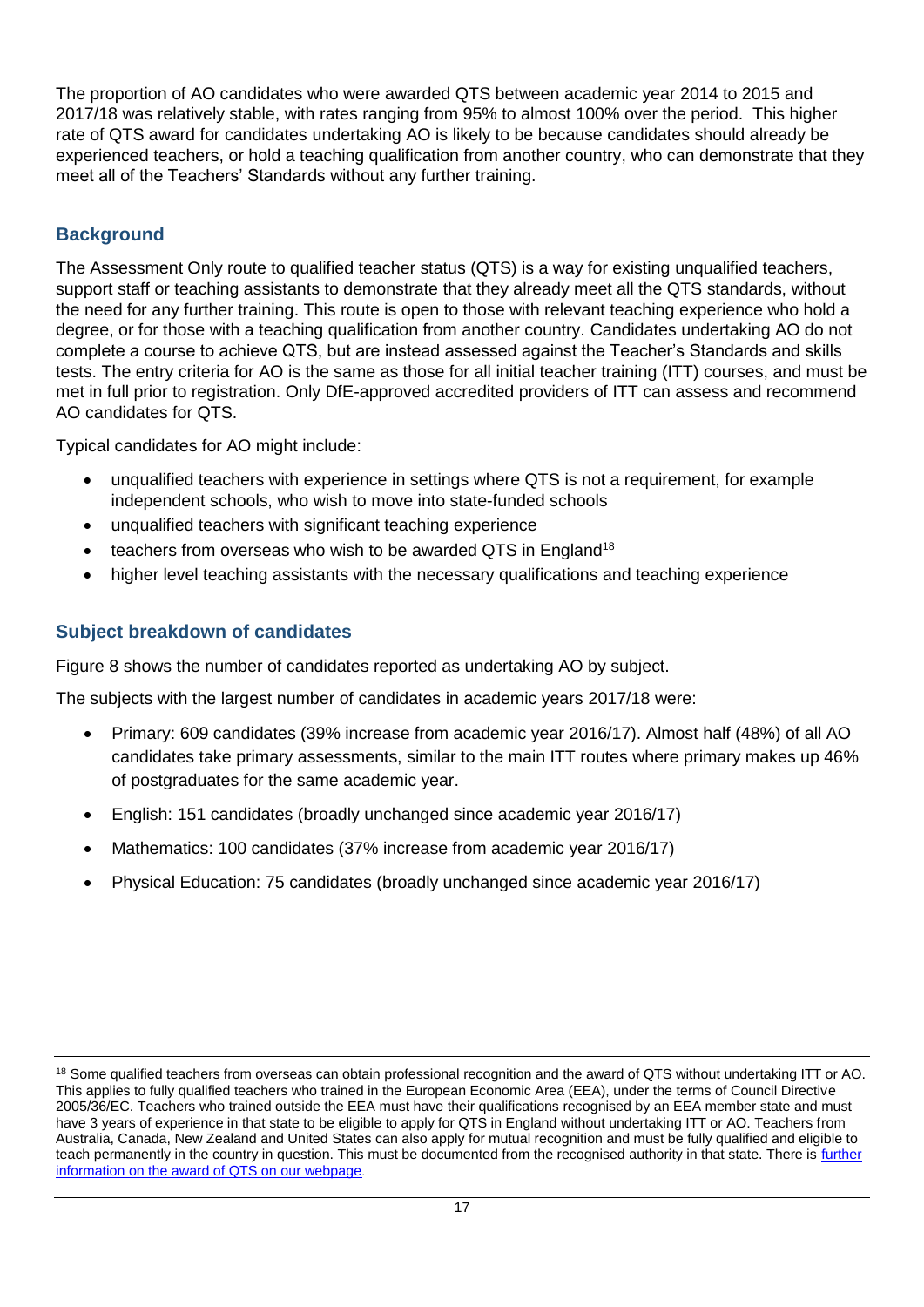The proportion of AO candidates who were awarded QTS between academic year 2014 to 2015 and 2017/18 was relatively stable, with rates ranging from 95% to almost 100% over the period. This higher rate of QTS award for candidates undertaking AO is likely to be because candidates should already be experienced teachers, or hold a teaching qualification from another country, who can demonstrate that they meet all of the Teachers' Standards without any further training.

## **Background**

The Assessment Only route to qualified teacher status (QTS) is a way for existing unqualified teachers, support staff or teaching assistants to demonstrate that they already meet all the QTS standards, without the need for any further training. This route is open to those with relevant teaching experience who hold a degree, or for those with a teaching qualification from another country. Candidates undertaking AO do not complete a course to achieve QTS, but are instead assessed against the Teacher's Standards and skills tests. The entry criteria for AO is the same as those for all initial teacher training (ITT) courses, and must be met in full prior to registration. Only DfE-approved accredited providers of ITT can assess and recommend AO candidates for QTS.

Typical candidates for AO might include:

- unqualified teachers with experience in settings where QTS is not a requirement, for example independent schools, who wish to move into state-funded schools
- unqualified teachers with significant teaching experience
- teachers from overseas who wish to be awarded QTS in England<sup>18</sup>
- higher level teaching assistants with the necessary qualifications and teaching experience

## **Subject breakdown of candidates**

Figure 8 shows the number of candidates reported as undertaking AO by subject.

The subjects with the largest number of candidates in academic years 2017/18 were:

- Primary: 609 candidates (39% increase from academic year 2016/17). Almost half (48%) of all AO candidates take primary assessments, similar to the main ITT routes where primary makes up 46% of postgraduates for the same academic year.
- English: 151 candidates (broadly unchanged since academic year 2016/17)
- Mathematics: 100 candidates (37% increase from academic year 2016/17)
- Physical Education: 75 candidates (broadly unchanged since academic year 2016/17)

<sup>&</sup>lt;sup>18</sup> Some qualified teachers from overseas can obtain professional recognition and the award of QTS without undertaking ITT or AO. This applies to fully qualified teachers who trained in the European Economic Area (EEA), under the terms of Council Directive 2005/36/EC. Teachers who trained outside the EEA must have their qualifications recognised by an EEA member state and must have 3 years of experience in that state to be eligible to apply for QTS in England without undertaking ITT or AO. Teachers from Australia, Canada, New Zealand and United States can also apply for mutual recognition and must be fully qualified and eligible to teach permanently in the country in question. This must be documented from the recognised authority in that state. There is further [information on the award of QTS on our webpage](https://www.gov.uk/guidance/qualified-teacher-status-qts).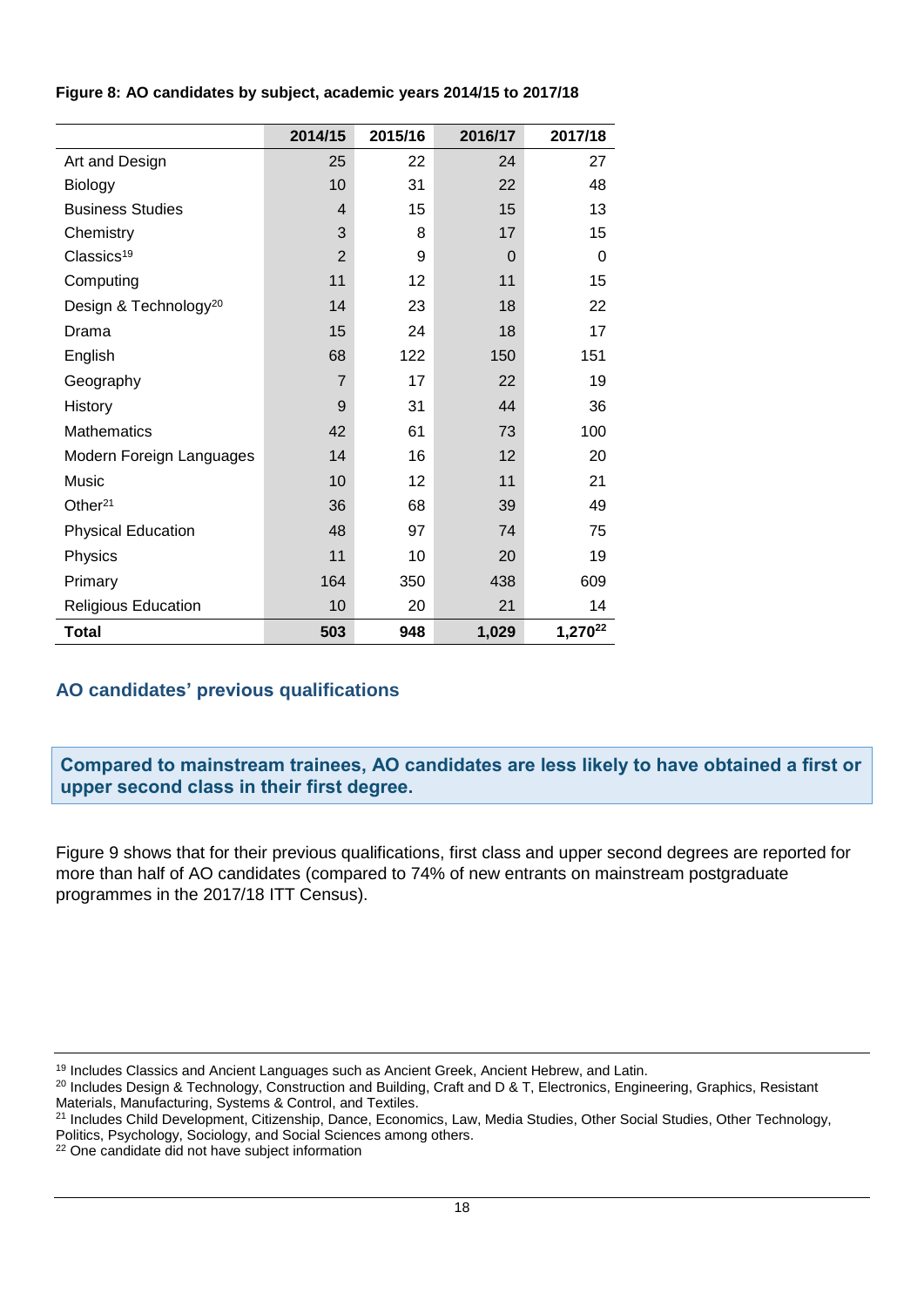| Figure 8: AO candidates by subject, academic years 2014/15 to 2017/18 |  |
|-----------------------------------------------------------------------|--|
|-----------------------------------------------------------------------|--|

|                                   | 2014/15        | 2015/16 | 2016/17  | 2017/18             |
|-----------------------------------|----------------|---------|----------|---------------------|
| Art and Design                    | 25             | 22      | 24       | 27                  |
| <b>Biology</b>                    | 10             | 31      | 22       | 48                  |
| <b>Business Studies</b>           | 4              | 15      | 15       | 13                  |
| Chemistry                         | 3              | 8       | 17       | 15                  |
| Classics <sup>19</sup>            | $\overline{2}$ | 9       | $\Omega$ | $\Omega$            |
| Computing                         | 11             | 12      | 11       | 15                  |
| Design & Technology <sup>20</sup> | 14             | 23      | 18       | 22                  |
| Drama                             | 15             | 24      | 18       | 17                  |
| English                           | 68             | 122     | 150      | 151                 |
| Geography                         | $\overline{7}$ | 17      | 22       | 19                  |
| History                           | 9              | 31      | 44       | 36                  |
| <b>Mathematics</b>                | 42             | 61      | 73       | 100                 |
| Modern Foreign Languages          | 14             | 16      | 12       | 20                  |
| Music                             | 10             | 12      | 11       | 21                  |
| Other $21$                        | 36             | 68      | 39       | 49                  |
| <b>Physical Education</b>         | 48             | 97      | 74       | 75                  |
| Physics                           | 11             | 10      | 20       | 19                  |
| Primary                           | 164            | 350     | 438      | 609                 |
| <b>Religious Education</b>        | 10             | 20      | 21       | 14                  |
| <b>Total</b>                      | 503            | 948     | 1,029    | 1,270 <sup>22</sup> |

### **AO candidates' previous qualifications**

**Compared to mainstream trainees, AO candidates are less likely to have obtained a first or upper second class in their first degree.**

Figure 9 shows that for their previous qualifications, first class and upper second degrees are reported for more than half of AO candidates (compared to 74% of new entrants on mainstream postgraduate programmes in the 2017/18 ITT Census).

<sup>&</sup>lt;sup>19</sup> Includes Classics and Ancient Languages such as Ancient Greek, Ancient Hebrew, and Latin.

<sup>&</sup>lt;sup>20</sup> Includes Design & Technology, Construction and Building, Craft and D & T, Electronics, Engineering, Graphics, Resistant Materials, Manufacturing, Systems & Control, and Textiles.

<sup>&</sup>lt;sup>21</sup> Includes Child Development, Citizenship, Dance, Economics, Law, Media Studies, Other Social Studies, Other Technology, Politics, Psychology, Sociology, and Social Sciences among others.

<sup>22</sup> One candidate did not have subject information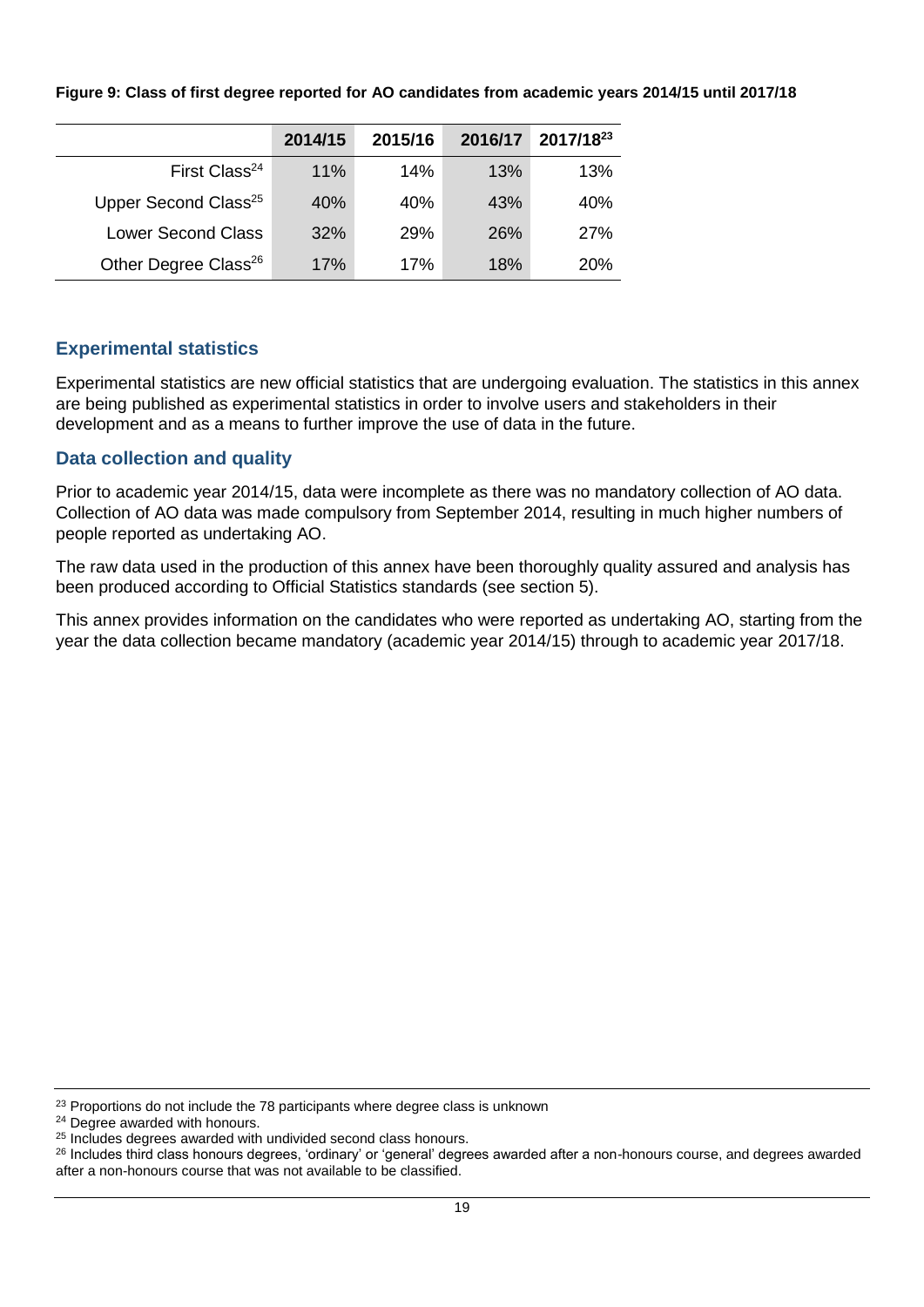|  |  |  | Figure 9: Class of first degree reported for AO candidates from academic years 2014/15 until 2017/18 |  |  |  |
|--|--|--|------------------------------------------------------------------------------------------------------|--|--|--|
|  |  |  |                                                                                                      |  |  |  |

|                                  | 2014/15 | 2015/16 | 2016/17 | 2017/1823  |
|----------------------------------|---------|---------|---------|------------|
| First Class <sup>24</sup>        | 11%     | 14%     | 13%     | 13%        |
| Upper Second Class <sup>25</sup> | 40%     | 40%     | 43%     | 40%        |
| <b>Lower Second Class</b>        | 32%     | 29%     | 26%     | 27%        |
| Other Degree Class <sup>26</sup> | 17%     | 17%     | 18%     | <b>20%</b> |

### **Experimental statistics**

Experimental statistics are new official statistics that are undergoing evaluation. The statistics in this annex are being published as experimental statistics in order to involve users and stakeholders in their development and as a means to further improve the use of data in the future.

### **Data collection and quality**

Prior to academic year 2014/15, data were incomplete as there was no mandatory collection of AO data. Collection of AO data was made compulsory from September 2014, resulting in much higher numbers of people reported as undertaking AO.

The raw data used in the production of this annex have been thoroughly quality assured and analysis has been produced according to Official Statistics standards (see section 5).

This annex provides information on the candidates who were reported as undertaking AO, starting from the year the data collection became mandatory (academic year 2014/15) through to academic year 2017/18.

<sup>23</sup> Proportions do not include the 78 participants where degree class is unknown

<sup>24</sup> Degree awarded with honours.

<sup>&</sup>lt;sup>25</sup> Includes degrees awarded with undivided second class honours.

<sup>26</sup> Includes third class honours degrees, 'ordinary' or 'general' degrees awarded after a non-honours course, and degrees awarded after a non-honours course that was not available to be classified.